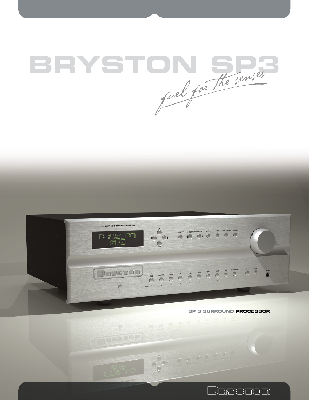



**Durator** 

**SP 3 SURROUND PROCESSOR**

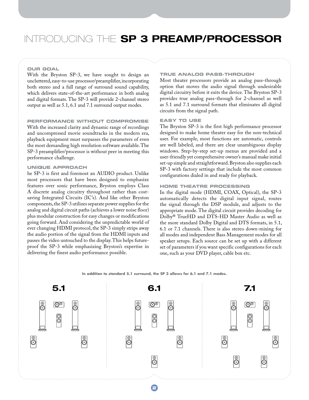## Introducing the **SP 3 PREAMP/PROCESSOR**

#### **OUR GOAL**

With the Bryston SP-3, we have sought to design an uncluttered, easy-to-use processor/preamplifier, incorporating both stereo and a full range of surround sound capability, which delivers state-of-the-art performance in both analog and digital formats. The SP-3 will provide 2-channel stereo output as well as 5.1, 6.1 and 7.1 surround output modes.

#### **PERFORMANCE WITHOUT COMPROMISE**

With the increased clarity and dynamic range of recordings and uncompressed movie soundtracks in the modern era, playback equipment must surpasses the parameters of even the most demanding high resolution software available. The SP-3 preamplifier/processor is without peer in meeting this performance challenge.

### **UNIQUE APPROACH**

he SP-3 is first and foremost an AUDIO product. Unlike most processors that have been designed to emphasize features over sonic performance, Bryston employs Class A discrete analog circuitry throughout rather than costsaving Integrated Circuits (IC's). And like other Bryston components, the SP-3 utilizes separate power supplies for the analog and digital circuit paths (achieves a lower noise floor) plus modular construction for easy changes or modifications going forward. And considering the unpredictable world of ever changing HDMI protocol, the SP-3 simply strips away the audio portion of the signal from the HDMI inputs and passes the video untouched to the display. This helps futureproof the SP-3 while emphasizing Bryston's expertise in delivering the finest audio performance possible.

## **TRUE ANALOG PASS-THROUGH**

Most theater processors provide an analog pass-through option that moves the audio signal through undesirable digital circuitry before it exits the device. The Bryston SP-3 provides true analog pass-through for 2-channel as well as 5.1 and 7.1 surround formats that eliminates all digital circuits from the signal path.

## **EASY TO USE**

The Bryston SP-3 is the first high performance processor designed to make home theater easy for the non-technical user. For example, most functions are automatic, controls are well labeled, and there are clear unambiguous display windows. Step-by-step set-up menus are provided and a user-friendly yet comprehensive owner's manual make initial set-up simple and straightforward. Bryston also supplies each SP-3 with factory settings that include the most common configurations dialed in and ready for playback.

### **HOME THEATRE PROCESSING**

In the digital mode (HDMI, COAX, Optical), the SP-3 automatically detects the digital input signal, routes the signal through the DSP module, and adjusts to the appropriate mode. The digital circuit provides decoding for Dolby® TrueHD and DTS-HD Master Audio as well as the more standard Dolby Digital and DTS formats, in 5.1, 6.1 or 7.1 channels. There is also stereo down-mixing for all modes and independent Bass Management modes for all speaker setups. Each source can be set up with a different set of parameters if you want specific configurations for each one, such as your DVD player, cable box etc.



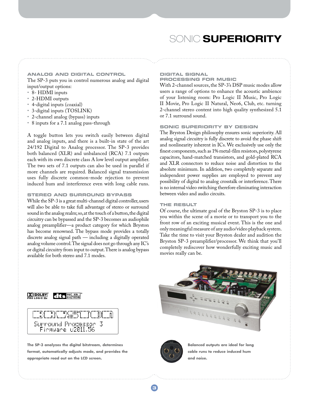## Sonic **Superiority**

## **ANALOG AND DIGITAL CONTROL**  The SP-3 puts you in control numerous analog and digital input/output options:

- 8- HDMI inputs
- 2-HDMI outputs
- 4-digital inputs (coaxial)
- 3-digital inputs (TOSLINK)
- 2-channel analog (bypass) inputs
- 8 inputs for a 7.1 analog pass-through

A toggle button lets you switch easily between digital and analog inputs, and there is a built-in state of the art 24/192 Digital to Analog processor. The SP-3 provides both balanced (XLR) and unbalanced (RCA) 7.1 outputs each with its own discrete class A low level output amplifier. The two sets of 7.1 outputs can also be used in parallel if more channels are required. Balanced signal transmission uses fully discrete common-mode rejection to prevent induced hum and interference even with long cable runs.

## **STEREO and SURROUND BYPASS**

While the SP-3 is a great multi-channel digital controller, users will also be able to take full advantage of stereo or surround sound in the analog realm; so, at the touch of a button, the digital circuitry can be bypassed and the SP-3 becomes an audiophile analog preamplifier—a product category for which Bryston has become renowned. The bypass mode provides a totally discrete analog signal path — including a digitally operated analog volume control. The signal does not go through any IC's or digital circuitry from input to output. There is analog bypass available for both stereo and 7.1 modes.

#### **DIGITAL SIGNAL PROCESSING FOR MUSIC**

With 2-channel sources, the SP-3's DSP music modes allow users a range of options to enhance the acoustic ambience of your listening room: Pro Logic II Music, Pro Logic II Movie, Pro Logic II Natural, Neo6, Club, etc. turning 2-channel stereo content into high quality synthesized 5.1 or 7.1 surround sound.

#### **SONIC SUPERIORITY BY DESIGN**

The Bryston Design philosophy ensures sonic superiority. All analog signal circuitry is fully discrete to avoid the phase shift and nonlinearity inherent in ICs. We exclusively use only the finest components, such as 1% metal-film resistors, polystyrene capacitors, hand-matched transistors, and gold-plated RCA and XLR connectors to reduce noise and distortion to the absolute minimum. In addition, two completely separate and independent power supplies are employed to prevent any possibility of digital to analog crosstalk or interference. There is no internal video switching therefore eliminating interaction between video and audio circuits.

### **THE RESULT**

Of course, the ultimate goal of the Bryston SP-3 is to place you within the scene of a movie or to transport you to the front row of an exciting musical event. This is the one and only meaningful measure of any audio/video playback system. Take the time to visit your Bryston dealer and audition the Bryston SP-3 preamplifier/processor. We think that you'll completely rediscover how wonderfully exciting music and movies really can be.

**DO DOLBY** 



**The SP-3 analyzes the digital bitstream, determines format, automatically adjusts mode, and provides the appropriate read out on the LCD screen.**





**Balanced outputs are ideal for long cable runs to reduce induced hum and noise.**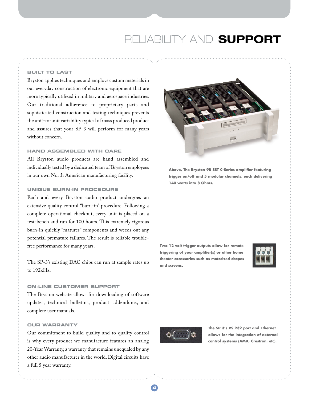# RELIABILITY AND **SUPPORT**

## **BUILT TO LAST**

Bryston applies techniques and employs custom materials in our everyday construction of electronic equipment that are more typically utilized in military and aerospace industries. Our traditional adherence to proprietary parts and sophisticated construction and testing techniques prevents the unit-to-unit variability typical of mass produced product and assures that your SP-3 will perform for many years without concern.

### **HAND ASSEMBLED WITH CARE**

All Bryston audio products are hand assembled and individually tested by a dedicated team of Bryston employees in our own North American manufacturing facility.

## **UNIQUE BURN-IN PROCEDURE**

Each and every Bryston audio product undergoes an extensive quality control "burn-in" procedure. Following a complete operational checkout, every unit is placed on a test-bench and run for 100 hours. This extremely rigorous burn-in quickly "matures" components and weeds out any potential premature failures. The result is reliable troublefree performance for many years.

The SP-3's existing DAC chips can run at sample rates up to 192kHz.

## **ON-LINE CUSTOMER SUPPORT**

The Bryston website allows for downloading of software updates, technical bulletins, product addendums, and complete user manuals.

## **OUR WARRANTY**

Our commitment to build-quality and to quality control is why every product we manufacture features an analog 20-Year Warranty, a warranty that remains unequaled by any other audio manufacturer in the world. Digital circuits have a full 5 year warranty.



**Above, The Bryston 9B SST C-Series amplifier featuring trigger on/off and 5 modular channels, each delivering 140 watts into 8 Ohms.**

**Two 12 volt trigger outputs allow for remote triggering of your amplifier(s) or other home theater accessories such as motorized drapes and screens.**





**The SP 3's RS 232 port and Ethernet allows for the integration of external control systems (AMX, Crestron, etc).**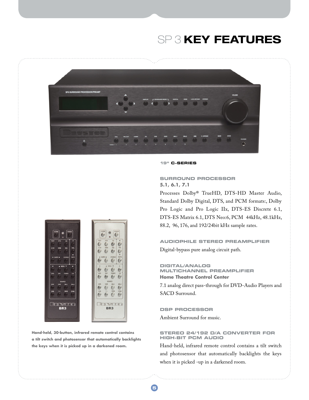# SP 3 **KEY FEATURES**



#### **19" C–SERIES**

## **Surround Processor 5.1, 6.1, 7.1**

Processes Dolby® TrueHD, DTS-HD Master Audio, Standard Dolby Digital, DTS, and PCM formats:, Dolby Pro Logic and Pro Logic IIx, DTS-ES Discrete 6.1, DTS-ES Matrix 6.1, DTS Neo:6, PCM 44kHz, 48.1kHz, 88.2, 96, 176, and 192/24bit kHz sample rates.

## **Audiophile Stereo Preamplifier** Digital-bypass pure analog circuit path.

### **Digital/Analog Multichannel Preamplifier Home Theatre Control Center**

7.1 analog direct pass-through for DVD-Audio Players and SACD Surround.

## **DSP Processor**

Ambient Surround for music.

## **Stereo 24/192 D/A Converter For high-bit PCM audio**

Hand-held, infrared remote control contains a tilt switch and photosensor that automatically backlights the keys when it is picked -up in a darkened room.



**Hand-held, 30-button, infrared remote control contains a tilt switch and photosensor that automatically backlights the keys when it is picked up in a darkened room.**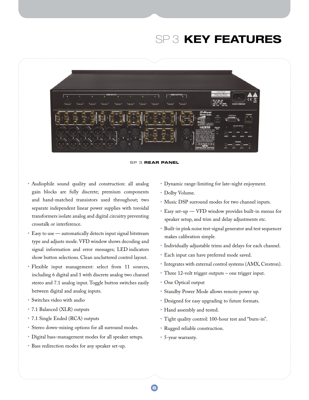# SP 3 **KEY FEATURES**



**SP 3 REAR PANEL**

- • Audiophile sound quality and construction: all analog gain blocks are fully discrete; premium components and hand-matched transistors used throughout; two separate independent linear power supplies with toroidal transformers isolate analog and digital circuitry preventing crosstalk or interference.
- Easy to use automatically detects input signal bitstream type and adjusts mode. VFD window shows decoding and signal information and error messages; LED indicators show button selections. Clean uncluttered control layout.
- • Flexible input management: select from 11 sources, including 6 digital and 1 with discrete analog two channel stereo and 7.1 analog input. Toggle button switches easily between digital and analog inputs.
- • Switches video with audio
- 7.1 Balanced (XLR) outputs
- 7.1 Single Ended (RCA) outputs
- • Stereo down-mixing options for all surround modes.
- • Digital bass-management modes for all speaker setups.
- • Bass redirection modes for any speaker set-up.
- • Dynamic range-limiting for late-night enjoyment.
- Dolby Volume.
- • Music DSP surround modes for two channel inputs.
- • Easy set-up VFD window provides built-in menus for speaker setup, and trim and delay adjustments etc.
- • Built-in pink noise test-signal generator and test sequencer makes calibration simple.
- • Individually adjustable trims and delays for each channel.
- • Each input can have preferred mode saved.
- • Integrates with external control systems (AMX, Crestron).
- Three 12-volt trigger outputs one trigger input.
- One Optical output
- • Standby Power Mode allows remote power up.
- Designed for easy upgrading to future formats.
- Hand assembly and tested.
- • Tight quality control: 100-hour test and "burn-in".
- • Rugged reliable construction.
- • 5-year warranty.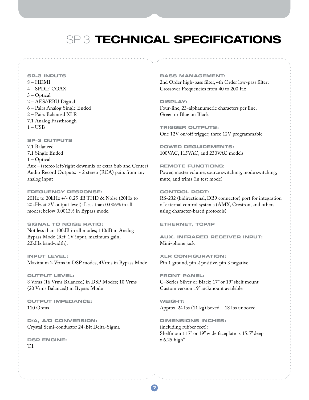## SP 3 **TECHNICAL SPECIFICATIONS**

**SP–3 INPUTS**  8 – HDMI 4 – SPDIF COAX 3 – Optical 2 – AES//EBU Digital 6 – Pairs Analog Single Ended 2 – Pairs Balanced XLR 7.1 Analog Passthrough  $1 - USB$ 

**SP–3 OUTPUTS**  7.1 Balanced 7.1 Single Ended 1 – Optical Aux – (stereo left/right downmix or extra Sub and Center) Audio Record Outputs: - 2 stereo (RCA) pairs from any analog input

## **Frequency Response:**

20Hz to 20kHz +/- 0.25 dB THD & Noise (20Hz to 20kHz at 2V output level): Less than 0.006% in all modes; below 0.0013% in Bypass mode.

**Signal to Noise Ratio:**  Not less than 100dB in all modes; 110dB in Analog Bypass Mode (Ref. 1V input, maximum gain, 22kHz bandwidth).

**Input Level:**  Maximum 2 Vrms in DSP modes, 4Vrms in Bypass Mode

**Output Level:**  8 Vrms (16 Vrms Balanced) in DSP Modes; 10 Vrms (20 Vrms Balanced) in Bypass Mode

**Output Impedance:**  110 Ohms

**D/A, A/D Conversion:**  Crystal Semi-conductor 24-Bit Delta-Sigma

**DSP Engine:**  T.I.

### **Bass Management:**

2nd Order high-pass filter, 4th Order low-pass filter; Crossover Frequencies from 40 to 200 Hz

**Display:**  Four-line, 23-alphanumeric characters per line, Green or Blue on Black

**Trigger Outputs:**  One 12V on/off trigger; three 12V programmable

**Power Requirements:**  100VAC, 115VAC, and 230VAC models

**Remote Functions**: Power, master volume, source switching, mode switching, mute, and trims (in test mode)

**Control Port:** RS-232 (bidirectional, DB9 connector) port for integration of external control systems (AMX, Crestron, and others using character-based protocols)

**Ethernet, TCP/IP**

**Aux. Infrared Receiver Input:**  Mini-phone jack

**XLR Configuration:**  Pin 1 ground, pin 2 positive, pin 3 negative

**Front Panel:**  C–Series Silver or Black; 17" or 19" shelf mount Custom version 19" rackmount available

**Weight:**  Approx. 24 lbs (11 kg) boxed – 18 lbs unboxed

**Dimensions Inches:** (including rubber feet): Shelfmount 17" or 19" wide faceplate x 15.5" deep x 6.25 high"